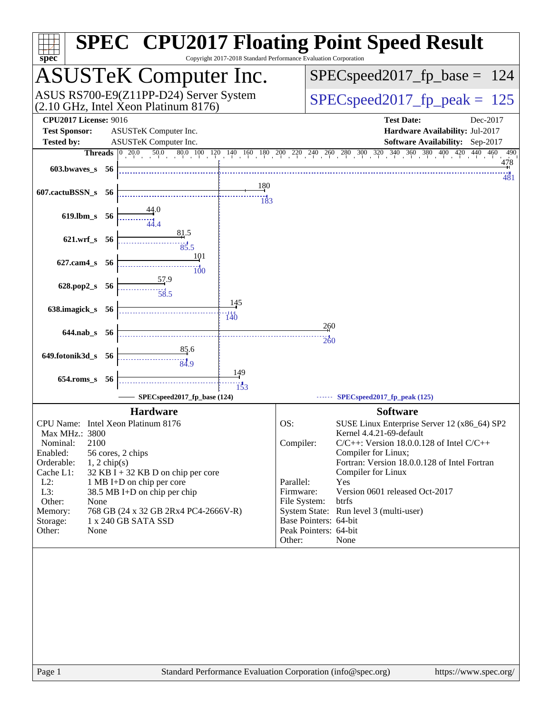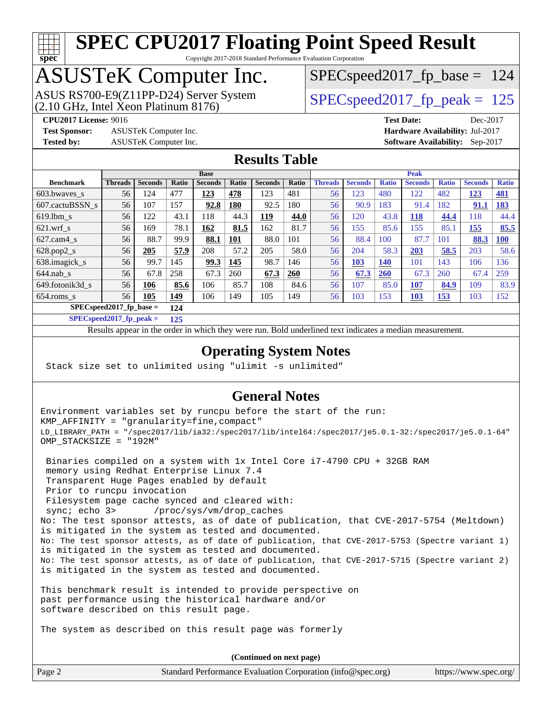

Copyright 2017-2018 Standard Performance Evaluation Corporation

## ASUSTeK Computer Inc.

(2.10 GHz, Intel Xeon Platinum 8176) ASUS RS700-E9(Z11PP-D24) Server System  $SPEC speed2017$  fp\_peak = 125

SPECspeed2017 fp base =  $124$ 

**[Test Sponsor:](http://www.spec.org/auto/cpu2017/Docs/result-fields.html#TestSponsor)** ASUSTeK Computer Inc. **[Hardware Availability:](http://www.spec.org/auto/cpu2017/Docs/result-fields.html#HardwareAvailability)** Jul-2017 **[Tested by:](http://www.spec.org/auto/cpu2017/Docs/result-fields.html#Testedby)** ASUSTeK Computer Inc. **[Software Availability:](http://www.spec.org/auto/cpu2017/Docs/result-fields.html#SoftwareAvailability)** Sep-2017

**[CPU2017 License:](http://www.spec.org/auto/cpu2017/Docs/result-fields.html#CPU2017License)** 9016 **[Test Date:](http://www.spec.org/auto/cpu2017/Docs/result-fields.html#TestDate)** Dec-2017

#### **[Results Table](http://www.spec.org/auto/cpu2017/Docs/result-fields.html#ResultsTable)**

|                           | <b>Base</b>    |                |       |                |            |                | <b>Peak</b> |                |                |              |                |              |                |              |
|---------------------------|----------------|----------------|-------|----------------|------------|----------------|-------------|----------------|----------------|--------------|----------------|--------------|----------------|--------------|
| <b>Benchmark</b>          | <b>Threads</b> | <b>Seconds</b> | Ratio | <b>Seconds</b> | Ratio      | <b>Seconds</b> | Ratio       | <b>Threads</b> | <b>Seconds</b> | <b>Ratio</b> | <b>Seconds</b> | <b>Ratio</b> | <b>Seconds</b> | <b>Ratio</b> |
| 603.bwaves_s              | 56             | 124            | 477   | 123            | 478        | 123            | 481         | 56             | 123            | 480          | 122            | 482          | 123            | <b>481</b>   |
| 607.cactuBSSN s           | 56             | 107            | 157   | 92.8           | 180        | 92.5           | 180         | 56             | 90.9           | 183          | 91.4           | 182          | 91.1           | <u>183</u>   |
| $619.1$ bm s              | 56             | 122            | 43.1  | 118            | 44.3       | 119            | 44.0        | 56             | 120            | 43.8         | 118            | 44.4         | 118            | 44.4         |
| $621$ .wrf s              | 56             | 169            | 78.1  | 162            | 81.5       | 162            | 81.7        | 56             | 155            | 85.6         | 155            | 85.1         | 155            | 85.5         |
| $627$ .cam $4$ s          | 56             | 88.7           | 99.9  | 88.1           | <b>101</b> | 88.0           | 101         | 56             | 88.4           | 100          | 87.7           | 101          | 88.3           | <b>100</b>   |
| $628.pop2_s$              | 56             | 205            | 57.9  | 208            | 57.2       | 205            | 58.0        | 56             | 204            | 58.3         | 203            | 58.5         | 203            | 58.6         |
| 638.imagick_s             | 56             | 99.7           | 145   | 99.3           | 145        | 98.7           | 146         | 56             | <b>103</b>     | 140          | 101            | 143          | 106            | 136          |
| $644$ .nab s              | 56             | 67.8           | 258   | 67.3           | 260        | 67.3           | 260         | 56             | 67.3           | 260          | 67.3           | 260          | 67.4           | 259          |
| 649.fotonik3d s           | 56             | 106            | 85.6  | 106            | 85.7       | 108            | 84.6        | 56             | 107            | 85.0         | 107            | 84.9         | 109            | 83.9         |
| $654$ .roms s             | 56             | 105            | 149   | 106            | 149        | 105            | 149         | 56             | 103            | 153          | 103            | <b>153</b>   | 103            | 152          |
| $SPECspeed2017$ fp base = |                |                | 124   |                |            |                |             |                |                |              |                |              |                |              |

**[SPECspeed2017\\_fp\\_peak =](http://www.spec.org/auto/cpu2017/Docs/result-fields.html#SPECspeed2017fppeak) 125**

Results appear in the [order in which they were run.](http://www.spec.org/auto/cpu2017/Docs/result-fields.html#RunOrder) Bold underlined text [indicates a median measurement](http://www.spec.org/auto/cpu2017/Docs/result-fields.html#Median).

#### **[Operating System Notes](http://www.spec.org/auto/cpu2017/Docs/result-fields.html#OperatingSystemNotes)**

Stack size set to unlimited using "ulimit -s unlimited"

#### **[General Notes](http://www.spec.org/auto/cpu2017/Docs/result-fields.html#GeneralNotes)**

Environment variables set by runcpu before the start of the run: KMP\_AFFINITY = "granularity=fine,compact" LD\_LIBRARY\_PATH = "/spec2017/lib/ia32:/spec2017/lib/intel64:/spec2017/je5.0.1-32:/spec2017/je5.0.1-64" OMP\_STACKSIZE = "192M"

 Binaries compiled on a system with 1x Intel Core i7-4790 CPU + 32GB RAM memory using Redhat Enterprise Linux 7.4 Transparent Huge Pages enabled by default Prior to runcpu invocation Filesystem page cache synced and cleared with: sync; echo 3> /proc/sys/vm/drop\_caches No: The test sponsor attests, as of date of publication, that CVE-2017-5754 (Meltdown) is mitigated in the system as tested and documented. No: The test sponsor attests, as of date of publication, that CVE-2017-5753 (Spectre variant 1) is mitigated in the system as tested and documented. No: The test sponsor attests, as of date of publication, that CVE-2017-5715 (Spectre variant 2) is mitigated in the system as tested and documented.

This benchmark result is intended to provide perspective on past performance using the historical hardware and/or software described on this result page.

The system as described on this result page was formerly

Page 2 Standard Performance Evaluation Corporation [\(info@spec.org\)](mailto:info@spec.org) <https://www.spec.org/> **(Continued on next page)**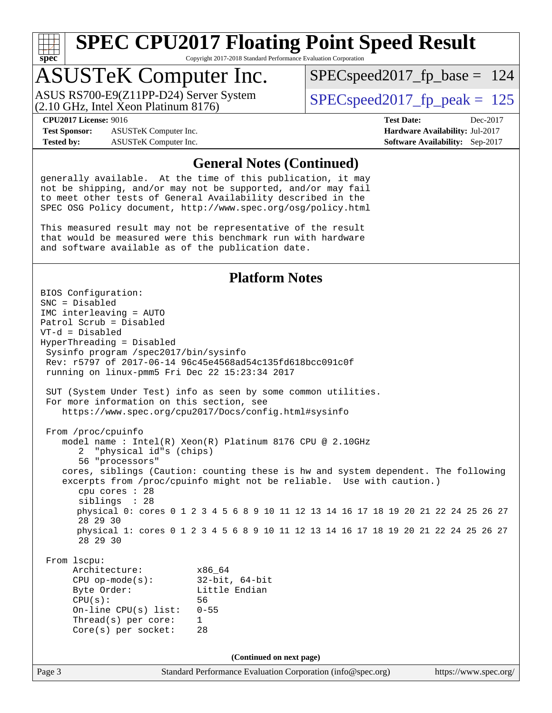**[spec](http://www.spec.org/)**

# **[SPEC CPU2017 Floating Point Speed Result](http://www.spec.org/auto/cpu2017/Docs/result-fields.html#SPECCPU2017FloatingPointSpeedResult)**

Copyright 2017-2018 Standard Performance Evaluation Corporation

### ASUSTeK Computer Inc.

(2.10 GHz, Intel Xeon Platinum 8176) ASUS RS700-E9(Z11PP-D24) Server System  $\big|$  SPECspeed2017 fp\_peak = 125

[SPECspeed2017\\_fp\\_base =](http://www.spec.org/auto/cpu2017/Docs/result-fields.html#SPECspeed2017fpbase) 124

**[Test Sponsor:](http://www.spec.org/auto/cpu2017/Docs/result-fields.html#TestSponsor)** ASUSTeK Computer Inc. **[Hardware Availability:](http://www.spec.org/auto/cpu2017/Docs/result-fields.html#HardwareAvailability)** Jul-2017 **[Tested by:](http://www.spec.org/auto/cpu2017/Docs/result-fields.html#Testedby)** ASUSTeK Computer Inc. **[Software Availability:](http://www.spec.org/auto/cpu2017/Docs/result-fields.html#SoftwareAvailability)** Sep-2017

**[CPU2017 License:](http://www.spec.org/auto/cpu2017/Docs/result-fields.html#CPU2017License)** 9016 **[Test Date:](http://www.spec.org/auto/cpu2017/Docs/result-fields.html#TestDate)** Dec-2017

#### **[General Notes \(Continued\)](http://www.spec.org/auto/cpu2017/Docs/result-fields.html#GeneralNotes)**

generally available. At the time of this publication, it may not be shipping, and/or may not be supported, and/or may fail to meet other tests of General Availability described in the SPEC OSG Policy document, <http://www.spec.org/osg/policy.html>

This measured result may not be representative of the result that would be measured were this benchmark run with hardware and software available as of the publication date.

#### **[Platform Notes](http://www.spec.org/auto/cpu2017/Docs/result-fields.html#PlatformNotes)**

Page 3 Standard Performance Evaluation Corporation [\(info@spec.org\)](mailto:info@spec.org) <https://www.spec.org/> BIOS Configuration: SNC = Disabled IMC interleaving = AUTO Patrol Scrub = Disabled VT-d = Disabled HyperThreading = Disabled Sysinfo program /spec2017/bin/sysinfo Rev: r5797 of 2017-06-14 96c45e4568ad54c135fd618bcc091c0f running on linux-pmm5 Fri Dec 22 15:23:34 2017 SUT (System Under Test) info as seen by some common utilities. For more information on this section, see <https://www.spec.org/cpu2017/Docs/config.html#sysinfo> From /proc/cpuinfo model name : Intel(R) Xeon(R) Platinum 8176 CPU @ 2.10GHz 2 "physical id"s (chips) 56 "processors" cores, siblings (Caution: counting these is hw and system dependent. The following excerpts from /proc/cpuinfo might not be reliable. Use with caution.) cpu cores : 28 siblings : 28 physical 0: cores 0 1 2 3 4 5 6 8 9 10 11 12 13 14 16 17 18 19 20 21 22 24 25 26 27 28 29 30 physical 1: cores 0 1 2 3 4 5 6 8 9 10 11 12 13 14 16 17 18 19 20 21 22 24 25 26 27 28 29 30 From lscpu: Architecture: x86\_64 CPU op-mode(s): 32-bit, 64-bit Byte Order: Little Endian CPU(s): 56 On-line CPU(s) list: 0-55 Thread(s) per core: 1 Core(s) per socket: 28 **(Continued on next page)**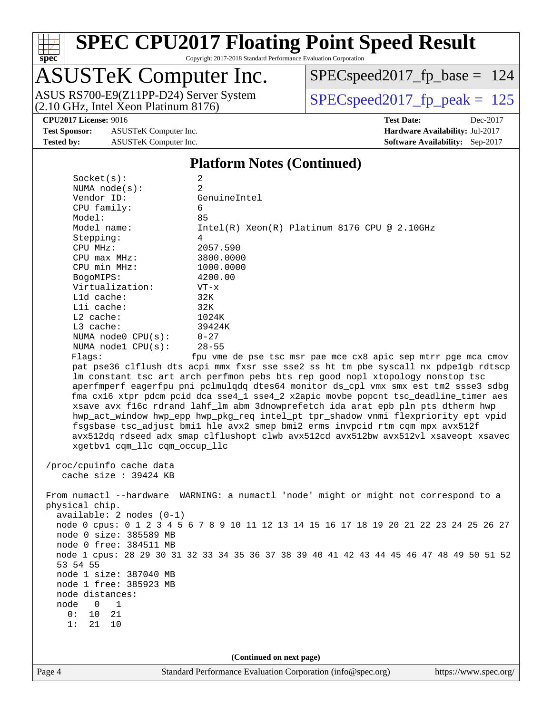

Copyright 2017-2018 Standard Performance Evaluation Corporation

## ASUSTeK Computer Inc.

ASUS RS700-E9(Z11PP-D24) Server System <br>(2.10 GHz, Intel Xeon Platinum 8176) [SPECspeed2017\\_fp\\_peak =](http://www.spec.org/auto/cpu2017/Docs/result-fields.html#SPECspeed2017fppeak) 125

 $SPEC speed2017_fp\_base = 124$ 

**[Test Sponsor:](http://www.spec.org/auto/cpu2017/Docs/result-fields.html#TestSponsor)** ASUSTeK Computer Inc. **[Hardware Availability:](http://www.spec.org/auto/cpu2017/Docs/result-fields.html#HardwareAvailability)** Jul-2017 **[Tested by:](http://www.spec.org/auto/cpu2017/Docs/result-fields.html#Testedby)** ASUSTeK Computer Inc. **[Software Availability:](http://www.spec.org/auto/cpu2017/Docs/result-fields.html#SoftwareAvailability)** Sep-2017

**[CPU2017 License:](http://www.spec.org/auto/cpu2017/Docs/result-fields.html#CPU2017License)** 9016 **[Test Date:](http://www.spec.org/auto/cpu2017/Docs/result-fields.html#TestDate)** Dec-2017

#### **[Platform Notes \(Continued\)](http://www.spec.org/auto/cpu2017/Docs/result-fields.html#PlatformNotes)**

| Socket(s):                                                                          | $\overline{a}$<br>2                                                                     |  |  |  |  |  |
|-------------------------------------------------------------------------------------|-----------------------------------------------------------------------------------------|--|--|--|--|--|
| NUMA $node(s):$<br>Vendor ID:                                                       | GenuineIntel                                                                            |  |  |  |  |  |
| CPU family:                                                                         | 6                                                                                       |  |  |  |  |  |
| Model:                                                                              | 85                                                                                      |  |  |  |  |  |
| Model name:                                                                         | Intel(R) Xeon(R) Platinum 8176 CPU @ 2.10GHz                                            |  |  |  |  |  |
| Stepping:                                                                           | 4                                                                                       |  |  |  |  |  |
| CPU MHz:                                                                            | 2057.590                                                                                |  |  |  |  |  |
| $CPU$ max $MHz$ :                                                                   | 3800.0000                                                                               |  |  |  |  |  |
| CPU min MHz:                                                                        | 1000.0000                                                                               |  |  |  |  |  |
| BogoMIPS:                                                                           | 4200.00                                                                                 |  |  |  |  |  |
| Virtualization:                                                                     | $VT - x$                                                                                |  |  |  |  |  |
| L1d cache:                                                                          | 32K                                                                                     |  |  |  |  |  |
| Lli cache:                                                                          | 32K                                                                                     |  |  |  |  |  |
| $L2$ cache:                                                                         | 1024K                                                                                   |  |  |  |  |  |
| $L3$ cache:                                                                         | 39424K                                                                                  |  |  |  |  |  |
| NUMA node0 CPU(s):                                                                  | $0 - 27$                                                                                |  |  |  |  |  |
| NUMA nodel CPU(s):                                                                  | $28 - 55$                                                                               |  |  |  |  |  |
| Flags:                                                                              | fpu vme de pse tsc msr pae mce cx8 apic sep mtrr pge mca cmov                           |  |  |  |  |  |
|                                                                                     | pat pse36 clflush dts acpi mmx fxsr sse sse2 ss ht tm pbe syscall nx pdpe1gb rdtscp     |  |  |  |  |  |
|                                                                                     | lm constant_tsc art arch_perfmon pebs bts rep_good nopl xtopology nonstop_tsc           |  |  |  |  |  |
|                                                                                     | aperfmperf eagerfpu pni pclmulqdq dtes64 monitor ds_cpl vmx smx est tm2 ssse3 sdbg      |  |  |  |  |  |
|                                                                                     | fma cx16 xtpr pdcm pcid dca sse4_1 sse4_2 x2apic movbe popcnt tsc_deadline_timer aes    |  |  |  |  |  |
|                                                                                     | xsave avx f16c rdrand lahf_lm abm 3dnowprefetch ida arat epb pln pts dtherm hwp         |  |  |  |  |  |
|                                                                                     | hwp_act_window hwp_epp hwp_pkg_req intel_pt tpr_shadow vnmi flexpriority ept vpid       |  |  |  |  |  |
| fsgsbase tsc_adjust bmil hle avx2 smep bmi2 erms invpcid rtm cqm mpx avx512f        |                                                                                         |  |  |  |  |  |
| avx512dq rdseed adx smap clflushopt clwb avx512cd avx512bw avx512vl xsaveopt xsavec |                                                                                         |  |  |  |  |  |
| xgetbv1 cqm_llc cqm_occup_llc                                                       |                                                                                         |  |  |  |  |  |
| /proc/cpuinfo cache data                                                            |                                                                                         |  |  |  |  |  |
| cache size : 39424 KB                                                               |                                                                                         |  |  |  |  |  |
|                                                                                     |                                                                                         |  |  |  |  |  |
|                                                                                     | From numactl --hardware WARNING: a numactl 'node' might or might not correspond to a    |  |  |  |  |  |
| physical chip.                                                                      |                                                                                         |  |  |  |  |  |
| $available: 2 nodes (0-1)$                                                          |                                                                                         |  |  |  |  |  |
|                                                                                     | node 0 cpus: 0 1 2 3 4 5 6 7 8 9 10 11 12 13 14 15 16 17 18 19 20 21 22 23 24 25 26 27  |  |  |  |  |  |
| node 0 size: 385589 MB                                                              |                                                                                         |  |  |  |  |  |
| node 0 free: 384511 MB                                                              |                                                                                         |  |  |  |  |  |
|                                                                                     | node 1 cpus: 28 29 30 31 32 33 34 35 36 37 38 39 40 41 42 43 44 45 46 47 48 49 50 51 52 |  |  |  |  |  |
| 53 54 55                                                                            |                                                                                         |  |  |  |  |  |
| node 1 size: 387040 MR                                                              |                                                                                         |  |  |  |  |  |
| node 1 free: 385923 MB                                                              |                                                                                         |  |  |  |  |  |
| node distances:                                                                     |                                                                                         |  |  |  |  |  |
| node<br>$\mathbf{0}$<br>1                                                           |                                                                                         |  |  |  |  |  |
| 0:<br>$10$<br>21                                                                    |                                                                                         |  |  |  |  |  |
| 1:<br>21<br>10                                                                      |                                                                                         |  |  |  |  |  |
|                                                                                     |                                                                                         |  |  |  |  |  |
|                                                                                     |                                                                                         |  |  |  |  |  |
| (Continued on next page)                                                            |                                                                                         |  |  |  |  |  |
|                                                                                     |                                                                                         |  |  |  |  |  |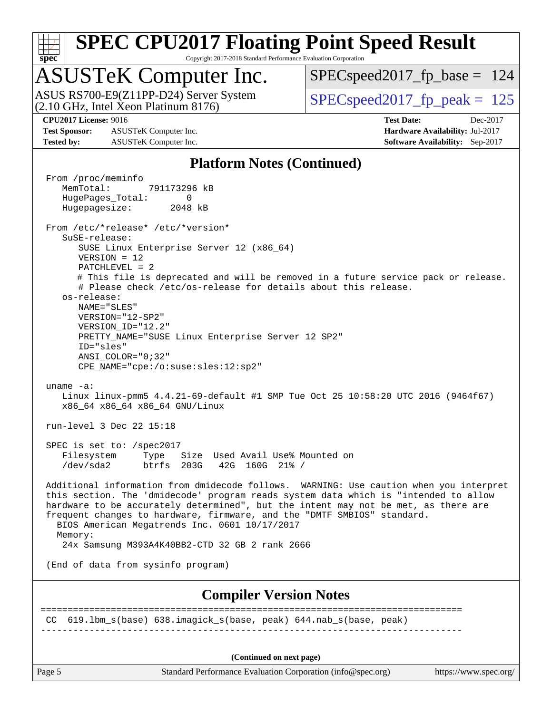

Copyright 2017-2018 Standard Performance Evaluation Corporation

### ASUSTeK Computer Inc.

(2.10 GHz, Intel Xeon Platinum 8176) ASUS RS700-E9(Z11PP-D24) Server System  $SPEC speed2017$  fp\_peak = 125

 $SPEC speed2017_fp\_base = 124$ 

**[Test Sponsor:](http://www.spec.org/auto/cpu2017/Docs/result-fields.html#TestSponsor)** ASUSTeK Computer Inc. **[Hardware Availability:](http://www.spec.org/auto/cpu2017/Docs/result-fields.html#HardwareAvailability)** Jul-2017 **[Tested by:](http://www.spec.org/auto/cpu2017/Docs/result-fields.html#Testedby)** ASUSTeK Computer Inc. **[Software Availability:](http://www.spec.org/auto/cpu2017/Docs/result-fields.html#SoftwareAvailability)** Sep-2017

**[CPU2017 License:](http://www.spec.org/auto/cpu2017/Docs/result-fields.html#CPU2017License)** 9016 **[Test Date:](http://www.spec.org/auto/cpu2017/Docs/result-fields.html#TestDate)** Dec-2017

#### **[Platform Notes \(Continued\)](http://www.spec.org/auto/cpu2017/Docs/result-fields.html#PlatformNotes)**

From /proc/meminfo<br>MemTotal: 791173296 kB MemTotal: HugePages\_Total: 0 Hugepagesize: 2048 kB From /etc/\*release\* /etc/\*version\* SuSE-release: SUSE Linux Enterprise Server 12 (x86\_64) VERSION = 12 PATCHLEVEL = 2 # This file is deprecated and will be removed in a future service pack or release. # Please check /etc/os-release for details about this release. os-release: NAME="SLES" VERSION="12-SP2" VERSION\_ID="12.2" PRETTY\_NAME="SUSE Linux Enterprise Server 12 SP2" ID="sles" ANSI\_COLOR="0;32" CPE\_NAME="cpe:/o:suse:sles:12:sp2" uname -a: Linux linux-pmm5 4.4.21-69-default #1 SMP Tue Oct 25 10:58:20 UTC 2016 (9464f67) x86\_64 x86\_64 x86\_64 GNU/Linux run-level 3 Dec 22 15:18 SPEC is set to: /spec2017 Filesystem Type Size Used Avail Use% Mounted on /dev/sda2 btrfs 203G 42G 160G 21% / Additional information from dmidecode follows. WARNING: Use caution when you interpret this section. The 'dmidecode' program reads system data which is "intended to allow hardware to be accurately determined", but the intent may not be met, as there are frequent changes to hardware, firmware, and the "DMTF SMBIOS" standard. BIOS American Megatrends Inc. 0601 10/17/2017 Memory: 24x Samsung M393A4K40BB2-CTD 32 GB 2 rank 2666 (End of data from sysinfo program) **[Compiler Version Notes](http://www.spec.org/auto/cpu2017/Docs/result-fields.html#CompilerVersionNotes)** ============================================================================== CC 619.lbm\_s(base) 638.imagick\_s(base, peak) 644.nab\_s(base, peak) ------------------------------------------------------------------------------ **(Continued on next page)**

Page 5 Standard Performance Evaluation Corporation [\(info@spec.org\)](mailto:info@spec.org) <https://www.spec.org/>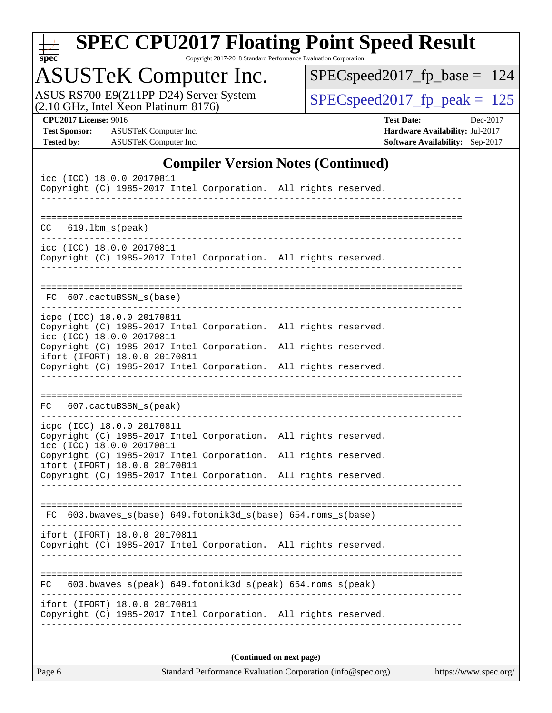| ч<br>e<br>۱, |  |  |  |  |  |
|--------------|--|--|--|--|--|

Copyright 2017-2018 Standard Performance Evaluation Corporation

### ASUSTeK Computer Inc.

ASUS RS700-E9(Z11PP-D24) Server System <br>(2.10 GHz, Intel Xeon Platinum 8176) [SPECspeed2017\\_fp\\_peak =](http://www.spec.org/auto/cpu2017/Docs/result-fields.html#SPECspeed2017fppeak) 125

 $SPEC speed2017_fp\_base = 124$ 

**[Test Sponsor:](http://www.spec.org/auto/cpu2017/Docs/result-fields.html#TestSponsor)** ASUSTeK Computer Inc. **[Hardware Availability:](http://www.spec.org/auto/cpu2017/Docs/result-fields.html#HardwareAvailability)** Jul-2017 **[Tested by:](http://www.spec.org/auto/cpu2017/Docs/result-fields.html#Testedby)** ASUSTeK Computer Inc. **[Software Availability:](http://www.spec.org/auto/cpu2017/Docs/result-fields.html#SoftwareAvailability)** Sep-2017

**[CPU2017 License:](http://www.spec.org/auto/cpu2017/Docs/result-fields.html#CPU2017License)** 9016 **[Test Date:](http://www.spec.org/auto/cpu2017/Docs/result-fields.html#TestDate)** Dec-2017

### **[Compiler Version Notes \(Continued\)](http://www.spec.org/auto/cpu2017/Docs/result-fields.html#CompilerVersionNotes)**

| icc (ICC) 18.0.0 20170811<br>Copyright (C) 1985-2017 Intel Corporation. All rights reserved.                               |  |                          |  |  |  |
|----------------------------------------------------------------------------------------------------------------------------|--|--------------------------|--|--|--|
| $CC$ $619.1bm_s(peak)$                                                                                                     |  |                          |  |  |  |
| icc (ICC) 18.0.0 20170811                                                                                                  |  |                          |  |  |  |
| Copyright (C) 1985-2017 Intel Corporation. All rights reserved.                                                            |  |                          |  |  |  |
| 607.cactuBSSN_s(base)<br>FC                                                                                                |  |                          |  |  |  |
|                                                                                                                            |  |                          |  |  |  |
| icpc (ICC) 18.0.0 20170811<br>Copyright (C) 1985-2017 Intel Corporation. All rights reserved.<br>icc (ICC) 18.0.0 20170811 |  |                          |  |  |  |
| Copyright (C) 1985-2017 Intel Corporation. All rights reserved.<br>ifort (IFORT) 18.0.0 20170811                           |  |                          |  |  |  |
| Copyright (C) 1985-2017 Intel Corporation. All rights reserved.                                                            |  |                          |  |  |  |
| 607.cactuBSSN_s(peak)<br>FC                                                                                                |  |                          |  |  |  |
|                                                                                                                            |  |                          |  |  |  |
| icpc (ICC) 18.0.0 20170811<br>Copyright (C) 1985-2017 Intel Corporation. All rights reserved.<br>icc (ICC) 18.0.0 20170811 |  |                          |  |  |  |
| Copyright (C) 1985-2017 Intel Corporation. All rights reserved.                                                            |  |                          |  |  |  |
| ifort (IFORT) 18.0.0 20170811<br>Copyright (C) 1985-2017 Intel Corporation. All rights reserved.                           |  |                          |  |  |  |
|                                                                                                                            |  |                          |  |  |  |
| FC 603.bwaves_s(base) 649.fotonik3d_s(base) 654.roms_s(base)                                                               |  |                          |  |  |  |
| ifort (IFORT) 18.0.0 20170811<br>Copyright (C) 1985-2017 Intel Corporation. All rights reserved.                           |  |                          |  |  |  |
| FC.                                                                                                                        |  |                          |  |  |  |
| 603.bwaves_s(peak) 649.fotonik3d_s(peak) 654.roms_s(peak)                                                                  |  |                          |  |  |  |
| ifort (IFORT) 18.0.0 20170811<br>Copyright (C) 1985-2017 Intel Corporation. All rights reserved.                           |  |                          |  |  |  |
|                                                                                                                            |  |                          |  |  |  |
|                                                                                                                            |  | (Continued on next page) |  |  |  |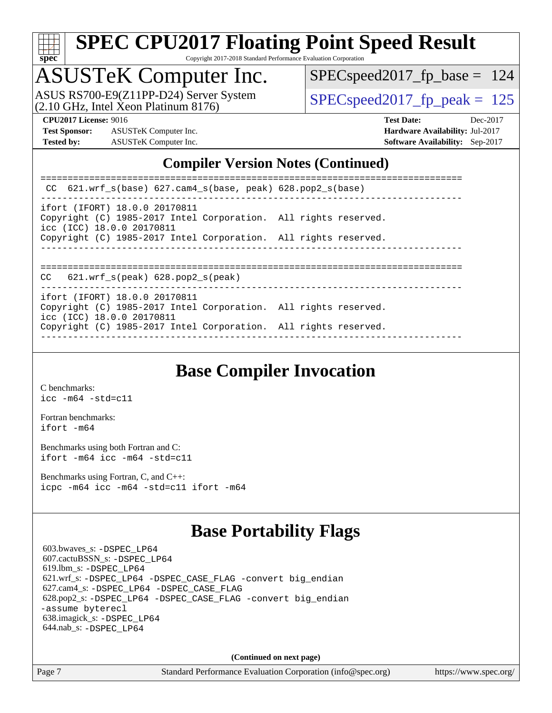

Copyright 2017-2018 Standard Performance Evaluation Corporation

### ASUSTeK Computer Inc.

 $(2.10 \text{ GHz}, \text{Intel } \hat{X}$  eon Platinum 8176) ASUS RS700-E9(Z11PP-D24) Server System  $\boxed{\text{SPEC speed2017~fp~peak = 125}}$ 

[SPECspeed2017\\_fp\\_base =](http://www.spec.org/auto/cpu2017/Docs/result-fields.html#SPECspeed2017fpbase) 124

**[Test Sponsor:](http://www.spec.org/auto/cpu2017/Docs/result-fields.html#TestSponsor)** ASUSTeK Computer Inc. **[Hardware Availability:](http://www.spec.org/auto/cpu2017/Docs/result-fields.html#HardwareAvailability)** Jul-2017 **[Tested by:](http://www.spec.org/auto/cpu2017/Docs/result-fields.html#Testedby)** ASUSTeK Computer Inc. **[Software Availability:](http://www.spec.org/auto/cpu2017/Docs/result-fields.html#SoftwareAvailability)** Sep-2017

**[CPU2017 License:](http://www.spec.org/auto/cpu2017/Docs/result-fields.html#CPU2017License)** 9016 **[Test Date:](http://www.spec.org/auto/cpu2017/Docs/result-fields.html#TestDate)** Dec-2017

#### **[Compiler Version Notes \(Continued\)](http://www.spec.org/auto/cpu2017/Docs/result-fields.html#CompilerVersionNotes)**

| CC $621.wrf$ s(base) $627.cam4$ s(base, peak) $628.pop2$ s(base)                                                              |  |
|-------------------------------------------------------------------------------------------------------------------------------|--|
| ifort (IFORT) 18.0.0 20170811<br>Copyright (C) 1985-2017 Intel Corporation. All rights reserved.<br>icc (ICC) 18.0.0 20170811 |  |
| Copyright (C) 1985-2017 Intel Corporation. All rights reserved.                                                               |  |
| $CC$ 621.wrf $s$ (peak) 628.pop2 $s$ (peak)                                                                                   |  |
| ifort (IFORT) 18.0.0 20170811<br>Copyright (C) 1985-2017 Intel Corporation. All rights reserved.<br>icc (ICC) 18.0.0 20170811 |  |
| Copyright (C) 1985-2017 Intel Corporation. All rights reserved.                                                               |  |

### **[Base Compiler Invocation](http://www.spec.org/auto/cpu2017/Docs/result-fields.html#BaseCompilerInvocation)**

[C benchmarks](http://www.spec.org/auto/cpu2017/Docs/result-fields.html#Cbenchmarks): [icc -m64 -std=c11](http://www.spec.org/cpu2017/results/res2018q1/cpu2017-20171224-02027.flags.html#user_CCbase_intel_icc_64bit_c11_33ee0cdaae7deeeab2a9725423ba97205ce30f63b9926c2519791662299b76a0318f32ddfffdc46587804de3178b4f9328c46fa7c2b0cd779d7a61945c91cd35)

[Fortran benchmarks](http://www.spec.org/auto/cpu2017/Docs/result-fields.html#Fortranbenchmarks): [ifort -m64](http://www.spec.org/cpu2017/results/res2018q1/cpu2017-20171224-02027.flags.html#user_FCbase_intel_ifort_64bit_24f2bb282fbaeffd6157abe4f878425411749daecae9a33200eee2bee2fe76f3b89351d69a8130dd5949958ce389cf37ff59a95e7a40d588e8d3a57e0c3fd751)

[Benchmarks using both Fortran and C](http://www.spec.org/auto/cpu2017/Docs/result-fields.html#BenchmarksusingbothFortranandC): [ifort -m64](http://www.spec.org/cpu2017/results/res2018q1/cpu2017-20171224-02027.flags.html#user_CC_FCbase_intel_ifort_64bit_24f2bb282fbaeffd6157abe4f878425411749daecae9a33200eee2bee2fe76f3b89351d69a8130dd5949958ce389cf37ff59a95e7a40d588e8d3a57e0c3fd751) [icc -m64 -std=c11](http://www.spec.org/cpu2017/results/res2018q1/cpu2017-20171224-02027.flags.html#user_CC_FCbase_intel_icc_64bit_c11_33ee0cdaae7deeeab2a9725423ba97205ce30f63b9926c2519791662299b76a0318f32ddfffdc46587804de3178b4f9328c46fa7c2b0cd779d7a61945c91cd35)

[Benchmarks using Fortran, C, and C++:](http://www.spec.org/auto/cpu2017/Docs/result-fields.html#BenchmarksusingFortranCandCXX) [icpc -m64](http://www.spec.org/cpu2017/results/res2018q1/cpu2017-20171224-02027.flags.html#user_CC_CXX_FCbase_intel_icpc_64bit_4ecb2543ae3f1412ef961e0650ca070fec7b7afdcd6ed48761b84423119d1bf6bdf5cad15b44d48e7256388bc77273b966e5eb805aefd121eb22e9299b2ec9d9) [icc -m64 -std=c11](http://www.spec.org/cpu2017/results/res2018q1/cpu2017-20171224-02027.flags.html#user_CC_CXX_FCbase_intel_icc_64bit_c11_33ee0cdaae7deeeab2a9725423ba97205ce30f63b9926c2519791662299b76a0318f32ddfffdc46587804de3178b4f9328c46fa7c2b0cd779d7a61945c91cd35) [ifort -m64](http://www.spec.org/cpu2017/results/res2018q1/cpu2017-20171224-02027.flags.html#user_CC_CXX_FCbase_intel_ifort_64bit_24f2bb282fbaeffd6157abe4f878425411749daecae9a33200eee2bee2fe76f3b89351d69a8130dd5949958ce389cf37ff59a95e7a40d588e8d3a57e0c3fd751)

### **[Base Portability Flags](http://www.spec.org/auto/cpu2017/Docs/result-fields.html#BasePortabilityFlags)**

 603.bwaves\_s: [-DSPEC\\_LP64](http://www.spec.org/cpu2017/results/res2018q1/cpu2017-20171224-02027.flags.html#suite_basePORTABILITY603_bwaves_s_DSPEC_LP64) 607.cactuBSSN\_s: [-DSPEC\\_LP64](http://www.spec.org/cpu2017/results/res2018q1/cpu2017-20171224-02027.flags.html#suite_basePORTABILITY607_cactuBSSN_s_DSPEC_LP64) 619.lbm\_s: [-DSPEC\\_LP64](http://www.spec.org/cpu2017/results/res2018q1/cpu2017-20171224-02027.flags.html#suite_basePORTABILITY619_lbm_s_DSPEC_LP64) 621.wrf\_s: [-DSPEC\\_LP64](http://www.spec.org/cpu2017/results/res2018q1/cpu2017-20171224-02027.flags.html#suite_basePORTABILITY621_wrf_s_DSPEC_LP64) [-DSPEC\\_CASE\\_FLAG](http://www.spec.org/cpu2017/results/res2018q1/cpu2017-20171224-02027.flags.html#b621.wrf_s_baseCPORTABILITY_DSPEC_CASE_FLAG) [-convert big\\_endian](http://www.spec.org/cpu2017/results/res2018q1/cpu2017-20171224-02027.flags.html#user_baseFPORTABILITY621_wrf_s_convert_big_endian_c3194028bc08c63ac5d04de18c48ce6d347e4e562e8892b8bdbdc0214820426deb8554edfa529a3fb25a586e65a3d812c835984020483e7e73212c4d31a38223) 627.cam4\_s: [-DSPEC\\_LP64](http://www.spec.org/cpu2017/results/res2018q1/cpu2017-20171224-02027.flags.html#suite_basePORTABILITY627_cam4_s_DSPEC_LP64) [-DSPEC\\_CASE\\_FLAG](http://www.spec.org/cpu2017/results/res2018q1/cpu2017-20171224-02027.flags.html#b627.cam4_s_baseCPORTABILITY_DSPEC_CASE_FLAG) 628.pop2\_s: [-DSPEC\\_LP64](http://www.spec.org/cpu2017/results/res2018q1/cpu2017-20171224-02027.flags.html#suite_basePORTABILITY628_pop2_s_DSPEC_LP64) [-DSPEC\\_CASE\\_FLAG](http://www.spec.org/cpu2017/results/res2018q1/cpu2017-20171224-02027.flags.html#b628.pop2_s_baseCPORTABILITY_DSPEC_CASE_FLAG) [-convert big\\_endian](http://www.spec.org/cpu2017/results/res2018q1/cpu2017-20171224-02027.flags.html#user_baseFPORTABILITY628_pop2_s_convert_big_endian_c3194028bc08c63ac5d04de18c48ce6d347e4e562e8892b8bdbdc0214820426deb8554edfa529a3fb25a586e65a3d812c835984020483e7e73212c4d31a38223) [-assume byterecl](http://www.spec.org/cpu2017/results/res2018q1/cpu2017-20171224-02027.flags.html#user_baseFPORTABILITY628_pop2_s_assume_byterecl_7e47d18b9513cf18525430bbf0f2177aa9bf368bc7a059c09b2c06a34b53bd3447c950d3f8d6c70e3faf3a05c8557d66a5798b567902e8849adc142926523472) 638.imagick\_s: [-DSPEC\\_LP64](http://www.spec.org/cpu2017/results/res2018q1/cpu2017-20171224-02027.flags.html#suite_basePORTABILITY638_imagick_s_DSPEC_LP64) 644.nab\_s: [-DSPEC\\_LP64](http://www.spec.org/cpu2017/results/res2018q1/cpu2017-20171224-02027.flags.html#suite_basePORTABILITY644_nab_s_DSPEC_LP64)

**(Continued on next page)**

Page 7 Standard Performance Evaluation Corporation [\(info@spec.org\)](mailto:info@spec.org) <https://www.spec.org/>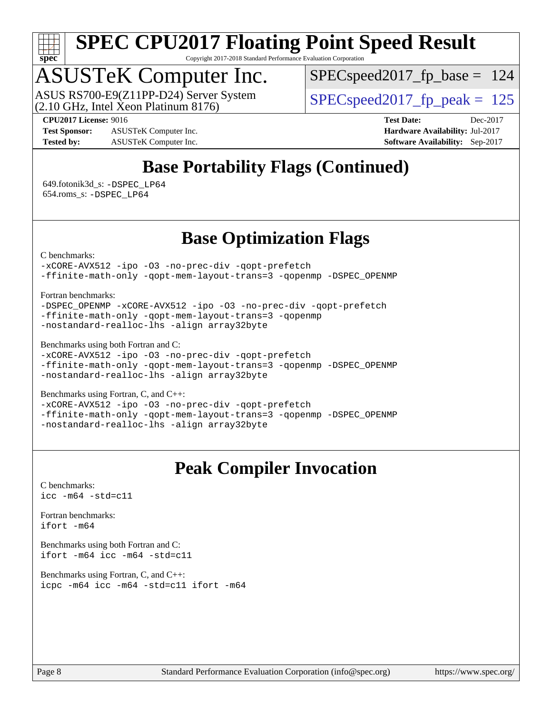

Copyright 2017-2018 Standard Performance Evaluation Corporation

### ASUSTeK Computer Inc.

(2.10 GHz, Intel Xeon Platinum 8176) ASUS RS700-E9(Z11PP-D24) Server System  $\boxed{\text{SPEC speed2017~fp~peak = 125}}$ 

SPECspeed2017 fp base =  $124$ 

**[Test Sponsor:](http://www.spec.org/auto/cpu2017/Docs/result-fields.html#TestSponsor)** ASUSTeK Computer Inc. **[Hardware Availability:](http://www.spec.org/auto/cpu2017/Docs/result-fields.html#HardwareAvailability)** Jul-2017 **[Tested by:](http://www.spec.org/auto/cpu2017/Docs/result-fields.html#Testedby)** ASUSTeK Computer Inc. **[Software Availability:](http://www.spec.org/auto/cpu2017/Docs/result-fields.html#SoftwareAvailability)** Sep-2017

**[CPU2017 License:](http://www.spec.org/auto/cpu2017/Docs/result-fields.html#CPU2017License)** 9016 **[Test Date:](http://www.spec.org/auto/cpu2017/Docs/result-fields.html#TestDate)** Dec-2017

### **[Base Portability Flags \(Continued\)](http://www.spec.org/auto/cpu2017/Docs/result-fields.html#BasePortabilityFlags)**

 649.fotonik3d\_s: [-DSPEC\\_LP64](http://www.spec.org/cpu2017/results/res2018q1/cpu2017-20171224-02027.flags.html#suite_basePORTABILITY649_fotonik3d_s_DSPEC_LP64) 654.roms\_s: [-DSPEC\\_LP64](http://www.spec.org/cpu2017/results/res2018q1/cpu2017-20171224-02027.flags.html#suite_basePORTABILITY654_roms_s_DSPEC_LP64)

### **[Base Optimization Flags](http://www.spec.org/auto/cpu2017/Docs/result-fields.html#BaseOptimizationFlags)**

[C benchmarks](http://www.spec.org/auto/cpu2017/Docs/result-fields.html#Cbenchmarks):

[-xCORE-AVX512](http://www.spec.org/cpu2017/results/res2018q1/cpu2017-20171224-02027.flags.html#user_CCbase_f-xCORE-AVX512) [-ipo](http://www.spec.org/cpu2017/results/res2018q1/cpu2017-20171224-02027.flags.html#user_CCbase_f-ipo) [-O3](http://www.spec.org/cpu2017/results/res2018q1/cpu2017-20171224-02027.flags.html#user_CCbase_f-O3) [-no-prec-div](http://www.spec.org/cpu2017/results/res2018q1/cpu2017-20171224-02027.flags.html#user_CCbase_f-no-prec-div) [-qopt-prefetch](http://www.spec.org/cpu2017/results/res2018q1/cpu2017-20171224-02027.flags.html#user_CCbase_f-qopt-prefetch)

[-ffinite-math-only](http://www.spec.org/cpu2017/results/res2018q1/cpu2017-20171224-02027.flags.html#user_CCbase_f_finite_math_only_cb91587bd2077682c4b38af759c288ed7c732db004271a9512da14a4f8007909a5f1427ecbf1a0fb78ff2a814402c6114ac565ca162485bbcae155b5e4258871) [-qopt-mem-layout-trans=3](http://www.spec.org/cpu2017/results/res2018q1/cpu2017-20171224-02027.flags.html#user_CCbase_f-qopt-mem-layout-trans_de80db37974c74b1f0e20d883f0b675c88c3b01e9d123adea9b28688d64333345fb62bc4a798493513fdb68f60282f9a726aa07f478b2f7113531aecce732043) [-qopenmp](http://www.spec.org/cpu2017/results/res2018q1/cpu2017-20171224-02027.flags.html#user_CCbase_qopenmp_16be0c44f24f464004c6784a7acb94aca937f053568ce72f94b139a11c7c168634a55f6653758ddd83bcf7b8463e8028bb0b48b77bcddc6b78d5d95bb1df2967) [-DSPEC\\_OPENMP](http://www.spec.org/cpu2017/results/res2018q1/cpu2017-20171224-02027.flags.html#suite_CCbase_DSPEC_OPENMP)

[Fortran benchmarks](http://www.spec.org/auto/cpu2017/Docs/result-fields.html#Fortranbenchmarks):

[-DSPEC\\_OPENMP](http://www.spec.org/cpu2017/results/res2018q1/cpu2017-20171224-02027.flags.html#suite_FCbase_DSPEC_OPENMP) [-xCORE-AVX512](http://www.spec.org/cpu2017/results/res2018q1/cpu2017-20171224-02027.flags.html#user_FCbase_f-xCORE-AVX512) [-ipo](http://www.spec.org/cpu2017/results/res2018q1/cpu2017-20171224-02027.flags.html#user_FCbase_f-ipo) [-O3](http://www.spec.org/cpu2017/results/res2018q1/cpu2017-20171224-02027.flags.html#user_FCbase_f-O3) [-no-prec-div](http://www.spec.org/cpu2017/results/res2018q1/cpu2017-20171224-02027.flags.html#user_FCbase_f-no-prec-div) [-qopt-prefetch](http://www.spec.org/cpu2017/results/res2018q1/cpu2017-20171224-02027.flags.html#user_FCbase_f-qopt-prefetch) [-ffinite-math-only](http://www.spec.org/cpu2017/results/res2018q1/cpu2017-20171224-02027.flags.html#user_FCbase_f_finite_math_only_cb91587bd2077682c4b38af759c288ed7c732db004271a9512da14a4f8007909a5f1427ecbf1a0fb78ff2a814402c6114ac565ca162485bbcae155b5e4258871) [-qopt-mem-layout-trans=3](http://www.spec.org/cpu2017/results/res2018q1/cpu2017-20171224-02027.flags.html#user_FCbase_f-qopt-mem-layout-trans_de80db37974c74b1f0e20d883f0b675c88c3b01e9d123adea9b28688d64333345fb62bc4a798493513fdb68f60282f9a726aa07f478b2f7113531aecce732043) [-qopenmp](http://www.spec.org/cpu2017/results/res2018q1/cpu2017-20171224-02027.flags.html#user_FCbase_qopenmp_16be0c44f24f464004c6784a7acb94aca937f053568ce72f94b139a11c7c168634a55f6653758ddd83bcf7b8463e8028bb0b48b77bcddc6b78d5d95bb1df2967) [-nostandard-realloc-lhs](http://www.spec.org/cpu2017/results/res2018q1/cpu2017-20171224-02027.flags.html#user_FCbase_f_2003_std_realloc_82b4557e90729c0f113870c07e44d33d6f5a304b4f63d4c15d2d0f1fab99f5daaed73bdb9275d9ae411527f28b936061aa8b9c8f2d63842963b95c9dd6426b8a) [-align array32byte](http://www.spec.org/cpu2017/results/res2018q1/cpu2017-20171224-02027.flags.html#user_FCbase_align_array32byte_b982fe038af199962ba9a80c053b8342c548c85b40b8e86eb3cc33dee0d7986a4af373ac2d51c3f7cf710a18d62fdce2948f201cd044323541f22fc0fffc51b6)

[Benchmarks using both Fortran and C](http://www.spec.org/auto/cpu2017/Docs/result-fields.html#BenchmarksusingbothFortranandC):

[-xCORE-AVX512](http://www.spec.org/cpu2017/results/res2018q1/cpu2017-20171224-02027.flags.html#user_CC_FCbase_f-xCORE-AVX512) [-ipo](http://www.spec.org/cpu2017/results/res2018q1/cpu2017-20171224-02027.flags.html#user_CC_FCbase_f-ipo) [-O3](http://www.spec.org/cpu2017/results/res2018q1/cpu2017-20171224-02027.flags.html#user_CC_FCbase_f-O3) [-no-prec-div](http://www.spec.org/cpu2017/results/res2018q1/cpu2017-20171224-02027.flags.html#user_CC_FCbase_f-no-prec-div) [-qopt-prefetch](http://www.spec.org/cpu2017/results/res2018q1/cpu2017-20171224-02027.flags.html#user_CC_FCbase_f-qopt-prefetch) [-ffinite-math-only](http://www.spec.org/cpu2017/results/res2018q1/cpu2017-20171224-02027.flags.html#user_CC_FCbase_f_finite_math_only_cb91587bd2077682c4b38af759c288ed7c732db004271a9512da14a4f8007909a5f1427ecbf1a0fb78ff2a814402c6114ac565ca162485bbcae155b5e4258871) [-qopt-mem-layout-trans=3](http://www.spec.org/cpu2017/results/res2018q1/cpu2017-20171224-02027.flags.html#user_CC_FCbase_f-qopt-mem-layout-trans_de80db37974c74b1f0e20d883f0b675c88c3b01e9d123adea9b28688d64333345fb62bc4a798493513fdb68f60282f9a726aa07f478b2f7113531aecce732043) [-qopenmp](http://www.spec.org/cpu2017/results/res2018q1/cpu2017-20171224-02027.flags.html#user_CC_FCbase_qopenmp_16be0c44f24f464004c6784a7acb94aca937f053568ce72f94b139a11c7c168634a55f6653758ddd83bcf7b8463e8028bb0b48b77bcddc6b78d5d95bb1df2967) [-DSPEC\\_OPENMP](http://www.spec.org/cpu2017/results/res2018q1/cpu2017-20171224-02027.flags.html#suite_CC_FCbase_DSPEC_OPENMP) [-nostandard-realloc-lhs](http://www.spec.org/cpu2017/results/res2018q1/cpu2017-20171224-02027.flags.html#user_CC_FCbase_f_2003_std_realloc_82b4557e90729c0f113870c07e44d33d6f5a304b4f63d4c15d2d0f1fab99f5daaed73bdb9275d9ae411527f28b936061aa8b9c8f2d63842963b95c9dd6426b8a) [-align array32byte](http://www.spec.org/cpu2017/results/res2018q1/cpu2017-20171224-02027.flags.html#user_CC_FCbase_align_array32byte_b982fe038af199962ba9a80c053b8342c548c85b40b8e86eb3cc33dee0d7986a4af373ac2d51c3f7cf710a18d62fdce2948f201cd044323541f22fc0fffc51b6)

[Benchmarks using Fortran, C, and C++:](http://www.spec.org/auto/cpu2017/Docs/result-fields.html#BenchmarksusingFortranCandCXX)

[-xCORE-AVX512](http://www.spec.org/cpu2017/results/res2018q1/cpu2017-20171224-02027.flags.html#user_CC_CXX_FCbase_f-xCORE-AVX512) [-ipo](http://www.spec.org/cpu2017/results/res2018q1/cpu2017-20171224-02027.flags.html#user_CC_CXX_FCbase_f-ipo) [-O3](http://www.spec.org/cpu2017/results/res2018q1/cpu2017-20171224-02027.flags.html#user_CC_CXX_FCbase_f-O3) [-no-prec-div](http://www.spec.org/cpu2017/results/res2018q1/cpu2017-20171224-02027.flags.html#user_CC_CXX_FCbase_f-no-prec-div) [-qopt-prefetch](http://www.spec.org/cpu2017/results/res2018q1/cpu2017-20171224-02027.flags.html#user_CC_CXX_FCbase_f-qopt-prefetch) [-ffinite-math-only](http://www.spec.org/cpu2017/results/res2018q1/cpu2017-20171224-02027.flags.html#user_CC_CXX_FCbase_f_finite_math_only_cb91587bd2077682c4b38af759c288ed7c732db004271a9512da14a4f8007909a5f1427ecbf1a0fb78ff2a814402c6114ac565ca162485bbcae155b5e4258871) [-qopt-mem-layout-trans=3](http://www.spec.org/cpu2017/results/res2018q1/cpu2017-20171224-02027.flags.html#user_CC_CXX_FCbase_f-qopt-mem-layout-trans_de80db37974c74b1f0e20d883f0b675c88c3b01e9d123adea9b28688d64333345fb62bc4a798493513fdb68f60282f9a726aa07f478b2f7113531aecce732043) [-qopenmp](http://www.spec.org/cpu2017/results/res2018q1/cpu2017-20171224-02027.flags.html#user_CC_CXX_FCbase_qopenmp_16be0c44f24f464004c6784a7acb94aca937f053568ce72f94b139a11c7c168634a55f6653758ddd83bcf7b8463e8028bb0b48b77bcddc6b78d5d95bb1df2967) [-DSPEC\\_OPENMP](http://www.spec.org/cpu2017/results/res2018q1/cpu2017-20171224-02027.flags.html#suite_CC_CXX_FCbase_DSPEC_OPENMP) [-nostandard-realloc-lhs](http://www.spec.org/cpu2017/results/res2018q1/cpu2017-20171224-02027.flags.html#user_CC_CXX_FCbase_f_2003_std_realloc_82b4557e90729c0f113870c07e44d33d6f5a304b4f63d4c15d2d0f1fab99f5daaed73bdb9275d9ae411527f28b936061aa8b9c8f2d63842963b95c9dd6426b8a) [-align array32byte](http://www.spec.org/cpu2017/results/res2018q1/cpu2017-20171224-02027.flags.html#user_CC_CXX_FCbase_align_array32byte_b982fe038af199962ba9a80c053b8342c548c85b40b8e86eb3cc33dee0d7986a4af373ac2d51c3f7cf710a18d62fdce2948f201cd044323541f22fc0fffc51b6)

### **[Peak Compiler Invocation](http://www.spec.org/auto/cpu2017/Docs/result-fields.html#PeakCompilerInvocation)**

[C benchmarks](http://www.spec.org/auto/cpu2017/Docs/result-fields.html#Cbenchmarks): [icc -m64 -std=c11](http://www.spec.org/cpu2017/results/res2018q1/cpu2017-20171224-02027.flags.html#user_CCpeak_intel_icc_64bit_c11_33ee0cdaae7deeeab2a9725423ba97205ce30f63b9926c2519791662299b76a0318f32ddfffdc46587804de3178b4f9328c46fa7c2b0cd779d7a61945c91cd35)

[Fortran benchmarks](http://www.spec.org/auto/cpu2017/Docs/result-fields.html#Fortranbenchmarks): [ifort -m64](http://www.spec.org/cpu2017/results/res2018q1/cpu2017-20171224-02027.flags.html#user_FCpeak_intel_ifort_64bit_24f2bb282fbaeffd6157abe4f878425411749daecae9a33200eee2bee2fe76f3b89351d69a8130dd5949958ce389cf37ff59a95e7a40d588e8d3a57e0c3fd751)

[Benchmarks using both Fortran and C](http://www.spec.org/auto/cpu2017/Docs/result-fields.html#BenchmarksusingbothFortranandC): [ifort -m64](http://www.spec.org/cpu2017/results/res2018q1/cpu2017-20171224-02027.flags.html#user_CC_FCpeak_intel_ifort_64bit_24f2bb282fbaeffd6157abe4f878425411749daecae9a33200eee2bee2fe76f3b89351d69a8130dd5949958ce389cf37ff59a95e7a40d588e8d3a57e0c3fd751) [icc -m64 -std=c11](http://www.spec.org/cpu2017/results/res2018q1/cpu2017-20171224-02027.flags.html#user_CC_FCpeak_intel_icc_64bit_c11_33ee0cdaae7deeeab2a9725423ba97205ce30f63b9926c2519791662299b76a0318f32ddfffdc46587804de3178b4f9328c46fa7c2b0cd779d7a61945c91cd35)

[Benchmarks using Fortran, C, and C++:](http://www.spec.org/auto/cpu2017/Docs/result-fields.html#BenchmarksusingFortranCandCXX) [icpc -m64](http://www.spec.org/cpu2017/results/res2018q1/cpu2017-20171224-02027.flags.html#user_CC_CXX_FCpeak_intel_icpc_64bit_4ecb2543ae3f1412ef961e0650ca070fec7b7afdcd6ed48761b84423119d1bf6bdf5cad15b44d48e7256388bc77273b966e5eb805aefd121eb22e9299b2ec9d9) [icc -m64 -std=c11](http://www.spec.org/cpu2017/results/res2018q1/cpu2017-20171224-02027.flags.html#user_CC_CXX_FCpeak_intel_icc_64bit_c11_33ee0cdaae7deeeab2a9725423ba97205ce30f63b9926c2519791662299b76a0318f32ddfffdc46587804de3178b4f9328c46fa7c2b0cd779d7a61945c91cd35) [ifort -m64](http://www.spec.org/cpu2017/results/res2018q1/cpu2017-20171224-02027.flags.html#user_CC_CXX_FCpeak_intel_ifort_64bit_24f2bb282fbaeffd6157abe4f878425411749daecae9a33200eee2bee2fe76f3b89351d69a8130dd5949958ce389cf37ff59a95e7a40d588e8d3a57e0c3fd751)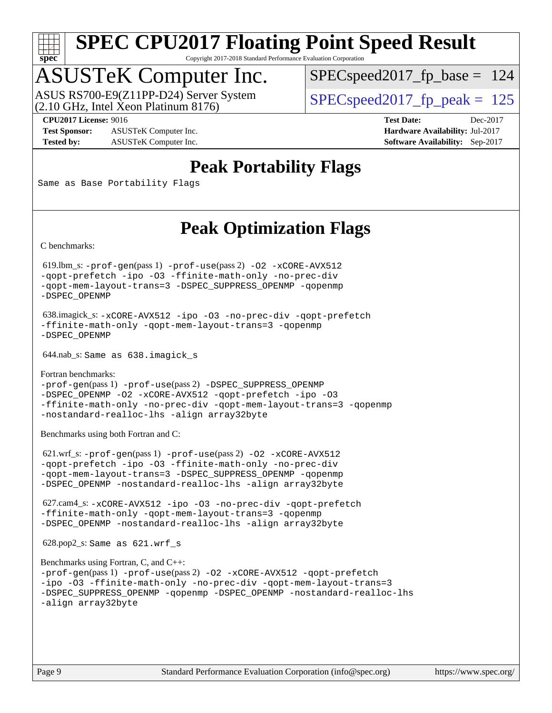

Copyright 2017-2018 Standard Performance Evaluation Corporation

### ASUSTeK Computer Inc.

(2.10 GHz, Intel Xeon Platinum 8176) ASUS RS700-E9(Z11PP-D24) Server System  $\big|$  SPECspeed2017 fp\_peak = 125

[SPECspeed2017\\_fp\\_base =](http://www.spec.org/auto/cpu2017/Docs/result-fields.html#SPECspeed2017fpbase) 124

**[Test Sponsor:](http://www.spec.org/auto/cpu2017/Docs/result-fields.html#TestSponsor)** ASUSTeK Computer Inc. **[Hardware Availability:](http://www.spec.org/auto/cpu2017/Docs/result-fields.html#HardwareAvailability)** Jul-2017 **[Tested by:](http://www.spec.org/auto/cpu2017/Docs/result-fields.html#Testedby)** ASUSTeK Computer Inc. **[Software Availability:](http://www.spec.org/auto/cpu2017/Docs/result-fields.html#SoftwareAvailability)** Sep-2017

**[CPU2017 License:](http://www.spec.org/auto/cpu2017/Docs/result-fields.html#CPU2017License)** 9016 **[Test Date:](http://www.spec.org/auto/cpu2017/Docs/result-fields.html#TestDate)** Dec-2017

### **[Peak Portability Flags](http://www.spec.org/auto/cpu2017/Docs/result-fields.html#PeakPortabilityFlags)**

Same as Base Portability Flags

### **[Peak Optimization Flags](http://www.spec.org/auto/cpu2017/Docs/result-fields.html#PeakOptimizationFlags)**

[C benchmarks](http://www.spec.org/auto/cpu2017/Docs/result-fields.html#Cbenchmarks):

 619.lbm\_s: [-prof-gen](http://www.spec.org/cpu2017/results/res2018q1/cpu2017-20171224-02027.flags.html#user_peakPASS1_CFLAGSPASS1_LDFLAGS619_lbm_s_prof_gen_5aa4926d6013ddb2a31985c654b3eb18169fc0c6952a63635c234f711e6e63dd76e94ad52365559451ec499a2cdb89e4dc58ba4c67ef54ca681ffbe1461d6b36)(pass 1) [-prof-use](http://www.spec.org/cpu2017/results/res2018q1/cpu2017-20171224-02027.flags.html#user_peakPASS2_CFLAGSPASS2_LDFLAGS619_lbm_s_prof_use_1a21ceae95f36a2b53c25747139a6c16ca95bd9def2a207b4f0849963b97e94f5260e30a0c64f4bb623698870e679ca08317ef8150905d41bd88c6f78df73f19)(pass 2) [-O2](http://www.spec.org/cpu2017/results/res2018q1/cpu2017-20171224-02027.flags.html#user_peakPASS1_COPTIMIZE619_lbm_s_f-O2) [-xCORE-AVX512](http://www.spec.org/cpu2017/results/res2018q1/cpu2017-20171224-02027.flags.html#user_peakPASS2_COPTIMIZE619_lbm_s_f-xCORE-AVX512) [-qopt-prefetch](http://www.spec.org/cpu2017/results/res2018q1/cpu2017-20171224-02027.flags.html#user_peakPASS1_COPTIMIZEPASS2_COPTIMIZE619_lbm_s_f-qopt-prefetch) [-ipo](http://www.spec.org/cpu2017/results/res2018q1/cpu2017-20171224-02027.flags.html#user_peakPASS2_COPTIMIZE619_lbm_s_f-ipo) [-O3](http://www.spec.org/cpu2017/results/res2018q1/cpu2017-20171224-02027.flags.html#user_peakPASS2_COPTIMIZE619_lbm_s_f-O3) [-ffinite-math-only](http://www.spec.org/cpu2017/results/res2018q1/cpu2017-20171224-02027.flags.html#user_peakPASS1_COPTIMIZEPASS2_COPTIMIZE619_lbm_s_f_finite_math_only_cb91587bd2077682c4b38af759c288ed7c732db004271a9512da14a4f8007909a5f1427ecbf1a0fb78ff2a814402c6114ac565ca162485bbcae155b5e4258871) [-no-prec-div](http://www.spec.org/cpu2017/results/res2018q1/cpu2017-20171224-02027.flags.html#user_peakPASS2_COPTIMIZE619_lbm_s_f-no-prec-div) [-qopt-mem-layout-trans=3](http://www.spec.org/cpu2017/results/res2018q1/cpu2017-20171224-02027.flags.html#user_peakPASS1_COPTIMIZEPASS2_COPTIMIZE619_lbm_s_f-qopt-mem-layout-trans_de80db37974c74b1f0e20d883f0b675c88c3b01e9d123adea9b28688d64333345fb62bc4a798493513fdb68f60282f9a726aa07f478b2f7113531aecce732043) [-DSPEC\\_SUPPRESS\\_OPENMP](http://www.spec.org/cpu2017/results/res2018q1/cpu2017-20171224-02027.flags.html#suite_peakPASS1_COPTIMIZE619_lbm_s_DSPEC_SUPPRESS_OPENMP) [-qopenmp](http://www.spec.org/cpu2017/results/res2018q1/cpu2017-20171224-02027.flags.html#user_peakPASS2_COPTIMIZE619_lbm_s_qopenmp_16be0c44f24f464004c6784a7acb94aca937f053568ce72f94b139a11c7c168634a55f6653758ddd83bcf7b8463e8028bb0b48b77bcddc6b78d5d95bb1df2967) [-DSPEC\\_OPENMP](http://www.spec.org/cpu2017/results/res2018q1/cpu2017-20171224-02027.flags.html#suite_peakPASS2_COPTIMIZE619_lbm_s_DSPEC_OPENMP)

 638.imagick\_s: [-xCORE-AVX512](http://www.spec.org/cpu2017/results/res2018q1/cpu2017-20171224-02027.flags.html#user_peakCOPTIMIZE638_imagick_s_f-xCORE-AVX512) [-ipo](http://www.spec.org/cpu2017/results/res2018q1/cpu2017-20171224-02027.flags.html#user_peakCOPTIMIZE638_imagick_s_f-ipo) [-O3](http://www.spec.org/cpu2017/results/res2018q1/cpu2017-20171224-02027.flags.html#user_peakCOPTIMIZE638_imagick_s_f-O3) [-no-prec-div](http://www.spec.org/cpu2017/results/res2018q1/cpu2017-20171224-02027.flags.html#user_peakCOPTIMIZE638_imagick_s_f-no-prec-div) [-qopt-prefetch](http://www.spec.org/cpu2017/results/res2018q1/cpu2017-20171224-02027.flags.html#user_peakCOPTIMIZE638_imagick_s_f-qopt-prefetch) [-ffinite-math-only](http://www.spec.org/cpu2017/results/res2018q1/cpu2017-20171224-02027.flags.html#user_peakCOPTIMIZE638_imagick_s_f_finite_math_only_cb91587bd2077682c4b38af759c288ed7c732db004271a9512da14a4f8007909a5f1427ecbf1a0fb78ff2a814402c6114ac565ca162485bbcae155b5e4258871) [-qopt-mem-layout-trans=3](http://www.spec.org/cpu2017/results/res2018q1/cpu2017-20171224-02027.flags.html#user_peakCOPTIMIZE638_imagick_s_f-qopt-mem-layout-trans_de80db37974c74b1f0e20d883f0b675c88c3b01e9d123adea9b28688d64333345fb62bc4a798493513fdb68f60282f9a726aa07f478b2f7113531aecce732043) [-qopenmp](http://www.spec.org/cpu2017/results/res2018q1/cpu2017-20171224-02027.flags.html#user_peakCOPTIMIZE638_imagick_s_qopenmp_16be0c44f24f464004c6784a7acb94aca937f053568ce72f94b139a11c7c168634a55f6653758ddd83bcf7b8463e8028bb0b48b77bcddc6b78d5d95bb1df2967) [-DSPEC\\_OPENMP](http://www.spec.org/cpu2017/results/res2018q1/cpu2017-20171224-02027.flags.html#suite_peakCOPTIMIZE638_imagick_s_DSPEC_OPENMP)

644.nab\_s: Same as 638.imagick\_s

[Fortran benchmarks](http://www.spec.org/auto/cpu2017/Docs/result-fields.html#Fortranbenchmarks): [-prof-gen](http://www.spec.org/cpu2017/results/res2018q1/cpu2017-20171224-02027.flags.html#user_FCpeak_prof_gen_5aa4926d6013ddb2a31985c654b3eb18169fc0c6952a63635c234f711e6e63dd76e94ad52365559451ec499a2cdb89e4dc58ba4c67ef54ca681ffbe1461d6b36)(pass 1) [-prof-use](http://www.spec.org/cpu2017/results/res2018q1/cpu2017-20171224-02027.flags.html#user_FCpeak_prof_use_1a21ceae95f36a2b53c25747139a6c16ca95bd9def2a207b4f0849963b97e94f5260e30a0c64f4bb623698870e679ca08317ef8150905d41bd88c6f78df73f19)(pass 2) [-DSPEC\\_SUPPRESS\\_OPENMP](http://www.spec.org/cpu2017/results/res2018q1/cpu2017-20171224-02027.flags.html#suite_FCpeak_DSPEC_SUPPRESS_OPENMP) [-DSPEC\\_OPENMP](http://www.spec.org/cpu2017/results/res2018q1/cpu2017-20171224-02027.flags.html#suite_FCpeak_DSPEC_OPENMP) [-O2](http://www.spec.org/cpu2017/results/res2018q1/cpu2017-20171224-02027.flags.html#user_FCpeak_f-O2) [-xCORE-AVX512](http://www.spec.org/cpu2017/results/res2018q1/cpu2017-20171224-02027.flags.html#user_FCpeak_f-xCORE-AVX512) [-qopt-prefetch](http://www.spec.org/cpu2017/results/res2018q1/cpu2017-20171224-02027.flags.html#user_FCpeak_f-qopt-prefetch) [-ipo](http://www.spec.org/cpu2017/results/res2018q1/cpu2017-20171224-02027.flags.html#user_FCpeak_f-ipo) [-O3](http://www.spec.org/cpu2017/results/res2018q1/cpu2017-20171224-02027.flags.html#user_FCpeak_f-O3) [-ffinite-math-only](http://www.spec.org/cpu2017/results/res2018q1/cpu2017-20171224-02027.flags.html#user_FCpeak_f_finite_math_only_cb91587bd2077682c4b38af759c288ed7c732db004271a9512da14a4f8007909a5f1427ecbf1a0fb78ff2a814402c6114ac565ca162485bbcae155b5e4258871) [-no-prec-div](http://www.spec.org/cpu2017/results/res2018q1/cpu2017-20171224-02027.flags.html#user_FCpeak_f-no-prec-div) [-qopt-mem-layout-trans=3](http://www.spec.org/cpu2017/results/res2018q1/cpu2017-20171224-02027.flags.html#user_FCpeak_f-qopt-mem-layout-trans_de80db37974c74b1f0e20d883f0b675c88c3b01e9d123adea9b28688d64333345fb62bc4a798493513fdb68f60282f9a726aa07f478b2f7113531aecce732043) [-qopenmp](http://www.spec.org/cpu2017/results/res2018q1/cpu2017-20171224-02027.flags.html#user_FCpeak_qopenmp_16be0c44f24f464004c6784a7acb94aca937f053568ce72f94b139a11c7c168634a55f6653758ddd83bcf7b8463e8028bb0b48b77bcddc6b78d5d95bb1df2967) [-nostandard-realloc-lhs](http://www.spec.org/cpu2017/results/res2018q1/cpu2017-20171224-02027.flags.html#user_FCpeak_f_2003_std_realloc_82b4557e90729c0f113870c07e44d33d6f5a304b4f63d4c15d2d0f1fab99f5daaed73bdb9275d9ae411527f28b936061aa8b9c8f2d63842963b95c9dd6426b8a) [-align array32byte](http://www.spec.org/cpu2017/results/res2018q1/cpu2017-20171224-02027.flags.html#user_FCpeak_align_array32byte_b982fe038af199962ba9a80c053b8342c548c85b40b8e86eb3cc33dee0d7986a4af373ac2d51c3f7cf710a18d62fdce2948f201cd044323541f22fc0fffc51b6)

[Benchmarks using both Fortran and C](http://www.spec.org/auto/cpu2017/Docs/result-fields.html#BenchmarksusingbothFortranandC):

 621.wrf\_s: [-prof-gen](http://www.spec.org/cpu2017/results/res2018q1/cpu2017-20171224-02027.flags.html#user_peakPASS1_CFLAGSPASS1_FFLAGSPASS1_LDFLAGS621_wrf_s_prof_gen_5aa4926d6013ddb2a31985c654b3eb18169fc0c6952a63635c234f711e6e63dd76e94ad52365559451ec499a2cdb89e4dc58ba4c67ef54ca681ffbe1461d6b36)(pass 1) [-prof-use](http://www.spec.org/cpu2017/results/res2018q1/cpu2017-20171224-02027.flags.html#user_peakPASS2_CFLAGSPASS2_FFLAGSPASS2_LDFLAGS621_wrf_s_prof_use_1a21ceae95f36a2b53c25747139a6c16ca95bd9def2a207b4f0849963b97e94f5260e30a0c64f4bb623698870e679ca08317ef8150905d41bd88c6f78df73f19)(pass 2) [-O2](http://www.spec.org/cpu2017/results/res2018q1/cpu2017-20171224-02027.flags.html#user_peakPASS1_COPTIMIZEPASS1_FOPTIMIZE621_wrf_s_f-O2) [-xCORE-AVX512](http://www.spec.org/cpu2017/results/res2018q1/cpu2017-20171224-02027.flags.html#user_peakPASS2_COPTIMIZEPASS2_FOPTIMIZE621_wrf_s_f-xCORE-AVX512) [-qopt-prefetch](http://www.spec.org/cpu2017/results/res2018q1/cpu2017-20171224-02027.flags.html#user_peakPASS1_COPTIMIZEPASS1_FOPTIMIZEPASS2_COPTIMIZEPASS2_FOPTIMIZE621_wrf_s_f-qopt-prefetch) [-ipo](http://www.spec.org/cpu2017/results/res2018q1/cpu2017-20171224-02027.flags.html#user_peakPASS2_COPTIMIZEPASS2_FOPTIMIZE621_wrf_s_f-ipo) [-O3](http://www.spec.org/cpu2017/results/res2018q1/cpu2017-20171224-02027.flags.html#user_peakPASS2_COPTIMIZEPASS2_FOPTIMIZE621_wrf_s_f-O3) [-ffinite-math-only](http://www.spec.org/cpu2017/results/res2018q1/cpu2017-20171224-02027.flags.html#user_peakPASS1_COPTIMIZEPASS1_FOPTIMIZEPASS2_COPTIMIZEPASS2_FOPTIMIZE621_wrf_s_f_finite_math_only_cb91587bd2077682c4b38af759c288ed7c732db004271a9512da14a4f8007909a5f1427ecbf1a0fb78ff2a814402c6114ac565ca162485bbcae155b5e4258871) [-no-prec-div](http://www.spec.org/cpu2017/results/res2018q1/cpu2017-20171224-02027.flags.html#user_peakPASS2_COPTIMIZEPASS2_FOPTIMIZE621_wrf_s_f-no-prec-div) [-qopt-mem-layout-trans=3](http://www.spec.org/cpu2017/results/res2018q1/cpu2017-20171224-02027.flags.html#user_peakPASS1_COPTIMIZEPASS1_FOPTIMIZEPASS2_COPTIMIZEPASS2_FOPTIMIZE621_wrf_s_f-qopt-mem-layout-trans_de80db37974c74b1f0e20d883f0b675c88c3b01e9d123adea9b28688d64333345fb62bc4a798493513fdb68f60282f9a726aa07f478b2f7113531aecce732043) [-DSPEC\\_SUPPRESS\\_OPENMP](http://www.spec.org/cpu2017/results/res2018q1/cpu2017-20171224-02027.flags.html#suite_peakPASS1_COPTIMIZEPASS1_FOPTIMIZE621_wrf_s_DSPEC_SUPPRESS_OPENMP) [-qopenmp](http://www.spec.org/cpu2017/results/res2018q1/cpu2017-20171224-02027.flags.html#user_peakPASS2_COPTIMIZEPASS2_FOPTIMIZE621_wrf_s_qopenmp_16be0c44f24f464004c6784a7acb94aca937f053568ce72f94b139a11c7c168634a55f6653758ddd83bcf7b8463e8028bb0b48b77bcddc6b78d5d95bb1df2967) [-DSPEC\\_OPENMP](http://www.spec.org/cpu2017/results/res2018q1/cpu2017-20171224-02027.flags.html#suite_peakPASS2_COPTIMIZEPASS2_FOPTIMIZE621_wrf_s_DSPEC_OPENMP) [-nostandard-realloc-lhs](http://www.spec.org/cpu2017/results/res2018q1/cpu2017-20171224-02027.flags.html#user_peakEXTRA_FOPTIMIZE621_wrf_s_f_2003_std_realloc_82b4557e90729c0f113870c07e44d33d6f5a304b4f63d4c15d2d0f1fab99f5daaed73bdb9275d9ae411527f28b936061aa8b9c8f2d63842963b95c9dd6426b8a) [-align array32byte](http://www.spec.org/cpu2017/results/res2018q1/cpu2017-20171224-02027.flags.html#user_peakEXTRA_FOPTIMIZE621_wrf_s_align_array32byte_b982fe038af199962ba9a80c053b8342c548c85b40b8e86eb3cc33dee0d7986a4af373ac2d51c3f7cf710a18d62fdce2948f201cd044323541f22fc0fffc51b6)

 627.cam4\_s: [-xCORE-AVX512](http://www.spec.org/cpu2017/results/res2018q1/cpu2017-20171224-02027.flags.html#user_peakCOPTIMIZEFOPTIMIZE627_cam4_s_f-xCORE-AVX512) [-ipo](http://www.spec.org/cpu2017/results/res2018q1/cpu2017-20171224-02027.flags.html#user_peakCOPTIMIZEFOPTIMIZE627_cam4_s_f-ipo) [-O3](http://www.spec.org/cpu2017/results/res2018q1/cpu2017-20171224-02027.flags.html#user_peakCOPTIMIZEFOPTIMIZE627_cam4_s_f-O3) [-no-prec-div](http://www.spec.org/cpu2017/results/res2018q1/cpu2017-20171224-02027.flags.html#user_peakCOPTIMIZEFOPTIMIZE627_cam4_s_f-no-prec-div) [-qopt-prefetch](http://www.spec.org/cpu2017/results/res2018q1/cpu2017-20171224-02027.flags.html#user_peakCOPTIMIZEFOPTIMIZE627_cam4_s_f-qopt-prefetch) [-ffinite-math-only](http://www.spec.org/cpu2017/results/res2018q1/cpu2017-20171224-02027.flags.html#user_peakCOPTIMIZEFOPTIMIZE627_cam4_s_f_finite_math_only_cb91587bd2077682c4b38af759c288ed7c732db004271a9512da14a4f8007909a5f1427ecbf1a0fb78ff2a814402c6114ac565ca162485bbcae155b5e4258871) [-qopt-mem-layout-trans=3](http://www.spec.org/cpu2017/results/res2018q1/cpu2017-20171224-02027.flags.html#user_peakCOPTIMIZEFOPTIMIZE627_cam4_s_f-qopt-mem-layout-trans_de80db37974c74b1f0e20d883f0b675c88c3b01e9d123adea9b28688d64333345fb62bc4a798493513fdb68f60282f9a726aa07f478b2f7113531aecce732043) [-qopenmp](http://www.spec.org/cpu2017/results/res2018q1/cpu2017-20171224-02027.flags.html#user_peakCOPTIMIZEFOPTIMIZE627_cam4_s_qopenmp_16be0c44f24f464004c6784a7acb94aca937f053568ce72f94b139a11c7c168634a55f6653758ddd83bcf7b8463e8028bb0b48b77bcddc6b78d5d95bb1df2967) [-DSPEC\\_OPENMP](http://www.spec.org/cpu2017/results/res2018q1/cpu2017-20171224-02027.flags.html#suite_peakCOPTIMIZEFOPTIMIZE627_cam4_s_DSPEC_OPENMP) [-nostandard-realloc-lhs](http://www.spec.org/cpu2017/results/res2018q1/cpu2017-20171224-02027.flags.html#user_peakEXTRA_FOPTIMIZE627_cam4_s_f_2003_std_realloc_82b4557e90729c0f113870c07e44d33d6f5a304b4f63d4c15d2d0f1fab99f5daaed73bdb9275d9ae411527f28b936061aa8b9c8f2d63842963b95c9dd6426b8a) [-align array32byte](http://www.spec.org/cpu2017/results/res2018q1/cpu2017-20171224-02027.flags.html#user_peakEXTRA_FOPTIMIZE627_cam4_s_align_array32byte_b982fe038af199962ba9a80c053b8342c548c85b40b8e86eb3cc33dee0d7986a4af373ac2d51c3f7cf710a18d62fdce2948f201cd044323541f22fc0fffc51b6)

628.pop2\_s: Same as 621.wrf\_s

```
Benchmarks using Fortran, C, and C++: 
-prof-gen(pass 1) -prof-use(pass 2) -O2 -xCORE-AVX512 -qopt-prefetch
-ipo -O3 -ffinite-math-only -no-prec-div -qopt-mem-layout-trans=3
-DSPEC_SUPPRESS_OPENMP -qopenmp -DSPEC_OPENMP -nostandard-realloc-lhs
-align array32byte
```